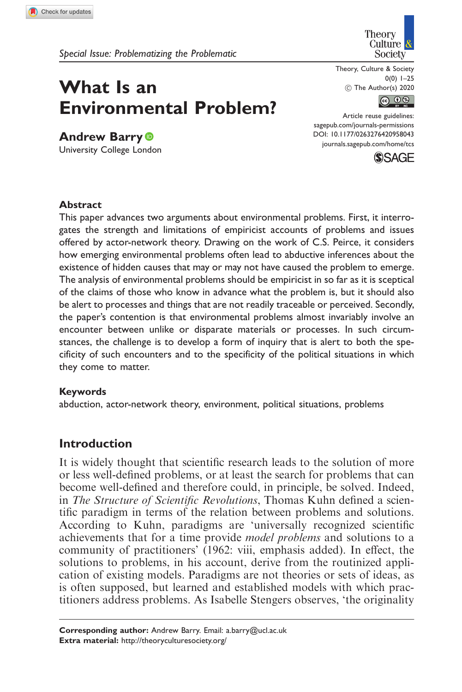Special Issue: Problematizing the Problematic

# What Is an Environmental Problem?

**Andrew Barry**<sup>®</sup> University College London Theory, Culture & Society  $0(0)$  1–25 ! The Author(s) 2020



Article reuse guidelines: [sagepub.com/journals-permissions](https://uk.sagepub.com/en-gb/journals-permissions) DOI: [10.1177/0263276420958043](https://doi.org/10.1177/0263276420958043) <journals.sagepub.com/home/tcs>



#### **Abstract**

This paper advances two arguments about environmental problems. First, it interrogates the strength and limitations of empiricist accounts of problems and issues offered by actor-network theory. Drawing on the work of C.S. Peirce, it considers how emerging environmental problems often lead to abductive inferences about the existence of hidden causes that may or may not have caused the problem to emerge. The analysis of environmental problems should be empiricist in so far as it is sceptical of the claims of those who know in advance what the problem is, but it should also be alert to processes and things that are not readily traceable or perceived. Secondly, the paper's contention is that environmental problems almost invariably involve an encounter between unlike or disparate materials or processes. In such circumstances, the challenge is to develop a form of inquiry that is alert to both the specificity of such encounters and to the specificity of the political situations in which they come to matter.

#### Keywords

abduction, actor-network theory, environment, political situations, problems

## Introduction

It is widely thought that scientific research leads to the solution of more or less well-defined problems, or at least the search for problems that can become well-defined and therefore could, in principle, be solved. Indeed, in The Structure of Scientific Revolutions, Thomas Kuhn defined a scientific paradigm in terms of the relation between problems and solutions. According to Kuhn, paradigms are 'universally recognized scientific achievements that for a time provide model problems and solutions to a community of practitioners' (1962: viii, emphasis added). In effect, the solutions to problems, in his account, derive from the routinized application of existing models. Paradigms are not theories or sets of ideas, as is often supposed, but learned and established models with which practitioners address problems. As Isabelle Stengers observes, 'the originality

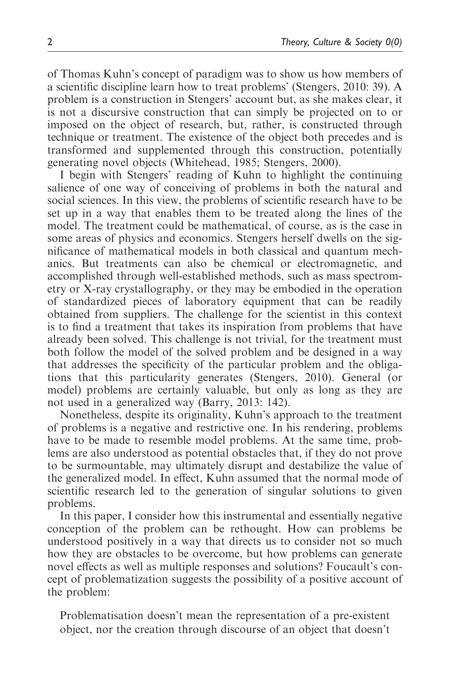of Thomas Kuhn's concept of paradigm was to show us how members of a scientific discipline learn how to treat problems' (Stengers, 2010: 39). A problem is a construction in Stengers' account but, as she makes clear, it is not a discursive construction that can simply be projected on to or imposed on the object of research, but, rather, is constructed through technique or treatment. The existence of the object both precedes and is transformed and supplemented through this construction, potentially generating novel objects (Whitehead, 1985; Stengers, 2000).

I begin with Stengers' reading of Kuhn to highlight the continuing salience of one way of conceiving of problems in both the natural and social sciences. In this view, the problems of scientific research have to be set up in a way that enables them to be treated along the lines of the model. The treatment could be mathematical, of course, as is the case in some areas of physics and economics. Stengers herself dwells on the significance of mathematical models in both classical and quantum mechanics. But treatments can also be chemical or electromagnetic, and accomplished through well-established methods, such as mass spectrometry or X-ray crystallography, or they may be embodied in the operation of standardized pieces of laboratory equipment that can be readily obtained from suppliers. The challenge for the scientist in this context is to find a treatment that takes its inspiration from problems that have already been solved. This challenge is not trivial, for the treatment must both follow the model of the solved problem and be designed in a way that addresses the specificity of the particular problem and the obligations that this particularity generates (Stengers, 2010). General (or model) problems are certainly valuable, but only as long as they are not used in a generalized way (Barry, 2013: 142).

Nonetheless, despite its originality, Kuhn's approach to the treatment of problems is a negative and restrictive one. In his rendering, problems have to be made to resemble model problems. At the same time, problems are also understood as potential obstacles that, if they do not prove to be surmountable, may ultimately disrupt and destabilize the value of the generalized model. In effect, Kuhn assumed that the normal mode of scientific research led to the generation of singular solutions to given problems.

In this paper, I consider how this instrumental and essentially negative conception of the problem can be rethought. How can problems be understood positively in a way that directs us to consider not so much how they are obstacles to be overcome, but how problems can generate novel effects as well as multiple responses and solutions? Foucault's concept of problematization suggests the possibility of a positive account of the problem:

Problematisation doesn't mean the representation of a pre-existent object, nor the creation through discourse of an object that doesn't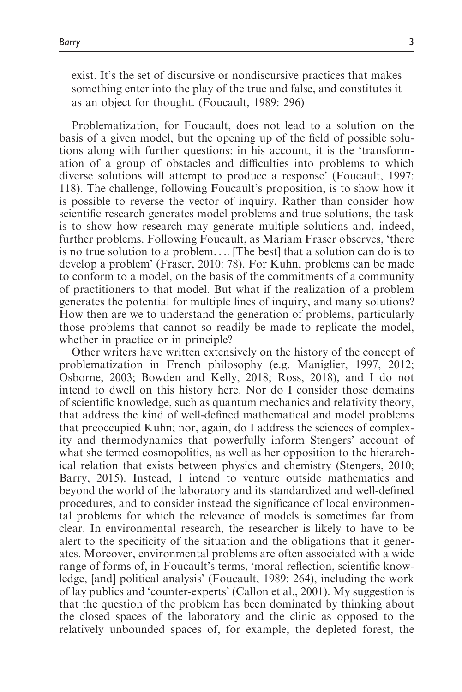exist. It's the set of discursive or nondiscursive practices that makes something enter into the play of the true and false, and constitutes it as an object for thought. (Foucault, 1989: 296)

Problematization, for Foucault, does not lead to a solution on the basis of a given model, but the opening up of the field of possible solutions along with further questions: in his account, it is the 'transformation of a group of obstacles and difficulties into problems to which diverse solutions will attempt to produce a response' (Foucault, 1997: 118). The challenge, following Foucault's proposition, is to show how it is possible to reverse the vector of inquiry. Rather than consider how scientific research generates model problems and true solutions, the task is to show how research may generate multiple solutions and, indeed, further problems. Following Foucault, as Mariam Fraser observes, 'there is no true solution to a problem.... [The best] that a solution can do is to develop a problem' (Fraser, 2010: 78). For Kuhn, problems can be made to conform to a model, on the basis of the commitments of a community of practitioners to that model. But what if the realization of a problem generates the potential for multiple lines of inquiry, and many solutions? How then are we to understand the generation of problems, particularly those problems that cannot so readily be made to replicate the model, whether in practice or in principle?

Other writers have written extensively on the history of the concept of problematization in French philosophy (e.g. Maniglier, 1997, 2012; Osborne, 2003; Bowden and Kelly, 2018; Ross, 2018), and I do not intend to dwell on this history here. Nor do I consider those domains of scientific knowledge, such as quantum mechanics and relativity theory, that address the kind of well-defined mathematical and model problems that preoccupied Kuhn; nor, again, do I address the sciences of complexity and thermodynamics that powerfully inform Stengers' account of what she termed cosmopolitics, as well as her opposition to the hierarchical relation that exists between physics and chemistry (Stengers, 2010; Barry, 2015). Instead, I intend to venture outside mathematics and beyond the world of the laboratory and its standardized and well-defined procedures, and to consider instead the significance of local environmental problems for which the relevance of models is sometimes far from clear. In environmental research, the researcher is likely to have to be alert to the specificity of the situation and the obligations that it generates. Moreover, environmental problems are often associated with a wide range of forms of, in Foucault's terms, 'moral reflection, scientific knowledge, [and] political analysis' (Foucault, 1989: 264), including the work of lay publics and 'counter-experts' (Callon et al., 2001). My suggestion is that the question of the problem has been dominated by thinking about the closed spaces of the laboratory and the clinic as opposed to the relatively unbounded spaces of, for example, the depleted forest, the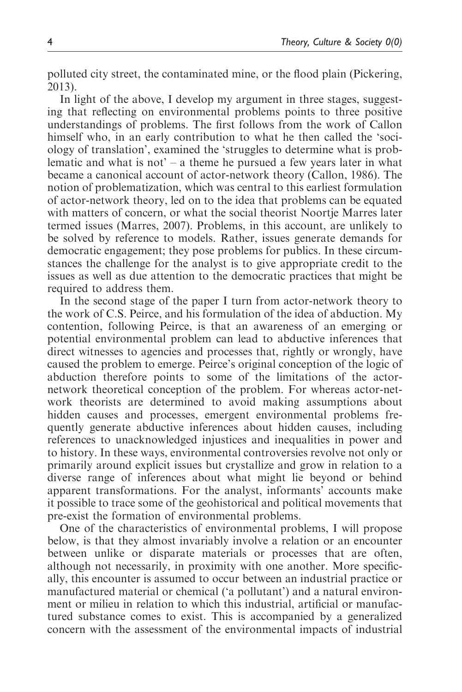polluted city street, the contaminated mine, or the flood plain (Pickering, 2013).

In light of the above, I develop my argument in three stages, suggesting that reflecting on environmental problems points to three positive understandings of problems. The first follows from the work of Callon himself who, in an early contribution to what he then called the 'sociology of translation', examined the 'struggles to determine what is problematic and what is not' – a theme he pursued a few years later in what became a canonical account of actor-network theory (Callon, 1986). The notion of problematization, which was central to this earliest formulation of actor-network theory, led on to the idea that problems can be equated with matters of concern, or what the social theorist Noortje Marres later termed issues (Marres, 2007). Problems, in this account, are unlikely to be solved by reference to models. Rather, issues generate demands for democratic engagement; they pose problems for publics. In these circumstances the challenge for the analyst is to give appropriate credit to the issues as well as due attention to the democratic practices that might be required to address them.

In the second stage of the paper I turn from actor-network theory to the work of C.S. Peirce, and his formulation of the idea of abduction. My contention, following Peirce, is that an awareness of an emerging or potential environmental problem can lead to abductive inferences that direct witnesses to agencies and processes that, rightly or wrongly, have caused the problem to emerge. Peirce's original conception of the logic of abduction therefore points to some of the limitations of the actornetwork theoretical conception of the problem. For whereas actor-network theorists are determined to avoid making assumptions about hidden causes and processes, emergent environmental problems frequently generate abductive inferences about hidden causes, including references to unacknowledged injustices and inequalities in power and to history. In these ways, environmental controversies revolve not only or primarily around explicit issues but crystallize and grow in relation to a diverse range of inferences about what might lie beyond or behind apparent transformations. For the analyst, informants' accounts make it possible to trace some of the geohistorical and political movements that pre-exist the formation of environmental problems.

One of the characteristics of environmental problems, I will propose below, is that they almost invariably involve a relation or an encounter between unlike or disparate materials or processes that are often, although not necessarily, in proximity with one another. More specifically, this encounter is assumed to occur between an industrial practice or manufactured material or chemical ('a pollutant') and a natural environment or milieu in relation to which this industrial, artificial or manufactured substance comes to exist. This is accompanied by a generalized concern with the assessment of the environmental impacts of industrial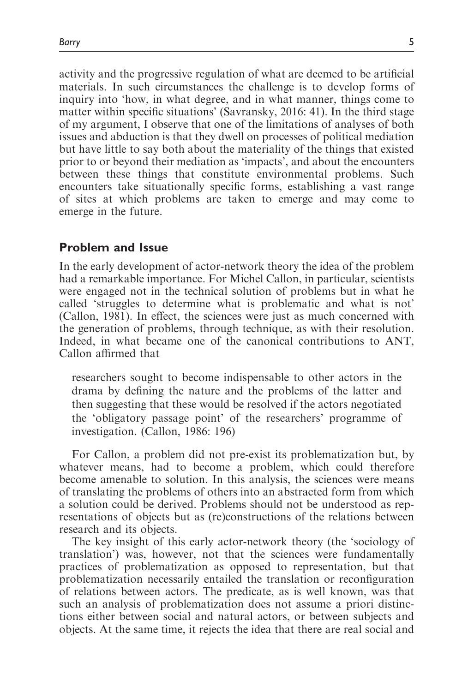activity and the progressive regulation of what are deemed to be artificial materials. In such circumstances the challenge is to develop forms of inquiry into 'how, in what degree, and in what manner, things come to matter within specific situations' (Savransky, 2016: 41). In the third stage of my argument, I observe that one of the limitations of analyses of both issues and abduction is that they dwell on processes of political mediation but have little to say both about the materiality of the things that existed prior to or beyond their mediation as 'impacts', and about the encounters between these things that constitute environmental problems. Such encounters take situationally specific forms, establishing a vast range of sites at which problems are taken to emerge and may come to emerge in the future.

## Problem and Issue

In the early development of actor-network theory the idea of the problem had a remarkable importance. For Michel Callon, in particular, scientists were engaged not in the technical solution of problems but in what he called 'struggles to determine what is problematic and what is not' (Callon, 1981). In effect, the sciences were just as much concerned with the generation of problems, through technique, as with their resolution. Indeed, in what became one of the canonical contributions to ANT, Callon affirmed that

researchers sought to become indispensable to other actors in the drama by defining the nature and the problems of the latter and then suggesting that these would be resolved if the actors negotiated the 'obligatory passage point' of the researchers' programme of investigation. (Callon, 1986: 196)

For Callon, a problem did not pre-exist its problematization but, by whatever means, had to become a problem, which could therefore become amenable to solution. In this analysis, the sciences were means of translating the problems of others into an abstracted form from which a solution could be derived. Problems should not be understood as representations of objects but as (re)constructions of the relations between research and its objects.

The key insight of this early actor-network theory (the 'sociology of translation') was, however, not that the sciences were fundamentally practices of problematization as opposed to representation, but that problematization necessarily entailed the translation or reconfiguration of relations between actors. The predicate, as is well known, was that such an analysis of problematization does not assume a priori distinctions either between social and natural actors, or between subjects and objects. At the same time, it rejects the idea that there are real social and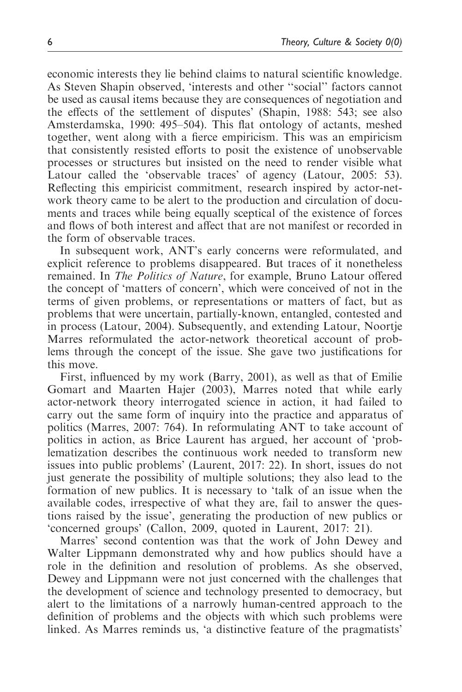economic interests they lie behind claims to natural scientific knowledge. As Steven Shapin observed, 'interests and other ''social'' factors cannot be used as causal items because they are consequences of negotiation and the effects of the settlement of disputes' (Shapin, 1988: 543; see also Amsterdamska, 1990: 495–504). This flat ontology of actants, meshed together, went along with a fierce empiricism. This was an empiricism that consistently resisted efforts to posit the existence of unobservable processes or structures but insisted on the need to render visible what Latour called the 'observable traces' of agency (Latour, 2005: 53). Reflecting this empiricist commitment, research inspired by actor-network theory came to be alert to the production and circulation of documents and traces while being equally sceptical of the existence of forces and flows of both interest and affect that are not manifest or recorded in the form of observable traces.

In subsequent work, ANT's early concerns were reformulated, and explicit reference to problems disappeared. But traces of it nonetheless remained. In The Politics of Nature, for example, Bruno Latour offered the concept of 'matters of concern', which were conceived of not in the terms of given problems, or representations or matters of fact, but as problems that were uncertain, partially-known, entangled, contested and in process (Latour, 2004). Subsequently, and extending Latour, Noortje Marres reformulated the actor-network theoretical account of problems through the concept of the issue. She gave two justifications for this move.

First, influenced by my work (Barry, 2001), as well as that of Emilie Gomart and Maarten Hajer (2003), Marres noted that while early actor-network theory interrogated science in action, it had failed to carry out the same form of inquiry into the practice and apparatus of politics (Marres, 2007: 764). In reformulating ANT to take account of politics in action, as Brice Laurent has argued, her account of 'problematization describes the continuous work needed to transform new issues into public problems' (Laurent, 2017: 22). In short, issues do not just generate the possibility of multiple solutions; they also lead to the formation of new publics. It is necessary to 'talk of an issue when the available codes, irrespective of what they are, fail to answer the questions raised by the issue', generating the production of new publics or 'concerned groups' (Callon, 2009, quoted in Laurent, 2017: 21).

Marres' second contention was that the work of John Dewey and Walter Lippmann demonstrated why and how publics should have a role in the definition and resolution of problems. As she observed, Dewey and Lippmann were not just concerned with the challenges that the development of science and technology presented to democracy, but alert to the limitations of a narrowly human-centred approach to the definition of problems and the objects with which such problems were linked. As Marres reminds us, 'a distinctive feature of the pragmatists'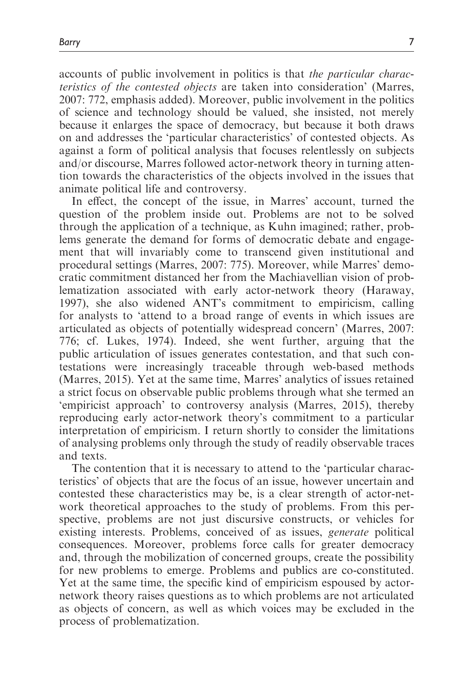accounts of public involvement in politics is that the particular characteristics of the contested objects are taken into consideration' (Marres, 2007: 772, emphasis added). Moreover, public involvement in the politics of science and technology should be valued, she insisted, not merely because it enlarges the space of democracy, but because it both draws on and addresses the 'particular characteristics' of contested objects. As against a form of political analysis that focuses relentlessly on subjects and/or discourse, Marres followed actor-network theory in turning attention towards the characteristics of the objects involved in the issues that animate political life and controversy.

In effect, the concept of the issue, in Marres' account, turned the question of the problem inside out. Problems are not to be solved through the application of a technique, as Kuhn imagined; rather, problems generate the demand for forms of democratic debate and engagement that will invariably come to transcend given institutional and procedural settings (Marres, 2007: 775). Moreover, while Marres' democratic commitment distanced her from the Machiavellian vision of problematization associated with early actor-network theory (Haraway, 1997), she also widened ANT's commitment to empiricism, calling for analysts to 'attend to a broad range of events in which issues are articulated as objects of potentially widespread concern' (Marres, 2007: 776; cf. Lukes, 1974). Indeed, she went further, arguing that the public articulation of issues generates contestation, and that such contestations were increasingly traceable through web-based methods (Marres, 2015). Yet at the same time, Marres' analytics of issues retained a strict focus on observable public problems through what she termed an 'empiricist approach' to controversy analysis (Marres, 2015), thereby reproducing early actor-network theory's commitment to a particular interpretation of empiricism. I return shortly to consider the limitations of analysing problems only through the study of readily observable traces and texts.

The contention that it is necessary to attend to the 'particular characteristics' of objects that are the focus of an issue, however uncertain and contested these characteristics may be, is a clear strength of actor-network theoretical approaches to the study of problems. From this perspective, problems are not just discursive constructs, or vehicles for existing interests. Problems, conceived of as issues, generate political consequences. Moreover, problems force calls for greater democracy and, through the mobilization of concerned groups, create the possibility for new problems to emerge. Problems and publics are co-constituted. Yet at the same time, the specific kind of empiricism espoused by actornetwork theory raises questions as to which problems are not articulated as objects of concern, as well as which voices may be excluded in the process of problematization.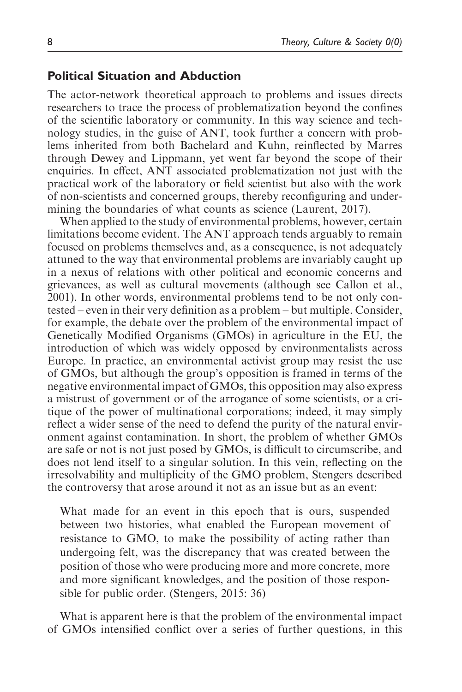### Political Situation and Abduction

The actor-network theoretical approach to problems and issues directs researchers to trace the process of problematization beyond the confines of the scientific laboratory or community. In this way science and technology studies, in the guise of ANT, took further a concern with problems inherited from both Bachelard and Kuhn, reinflected by Marres through Dewey and Lippmann, yet went far beyond the scope of their enquiries. In effect, ANT associated problematization not just with the practical work of the laboratory or field scientist but also with the work of non-scientists and concerned groups, thereby reconfiguring and undermining the boundaries of what counts as science (Laurent, 2017).

When applied to the study of environmental problems, however, certain limitations become evident. The ANT approach tends arguably to remain focused on problems themselves and, as a consequence, is not adequately attuned to the way that environmental problems are invariably caught up in a nexus of relations with other political and economic concerns and grievances, as well as cultural movements (although see Callon et al., 2001). In other words, environmental problems tend to be not only contested – even in their very definition as a problem – but multiple. Consider, for example, the debate over the problem of the environmental impact of Genetically Modified Organisms (GMOs) in agriculture in the EU, the introduction of which was widely opposed by environmentalists across Europe. In practice, an environmental activist group may resist the use of GMOs, but although the group's opposition is framed in terms of the negative environmental impact of GMOs, this opposition may also express a mistrust of government or of the arrogance of some scientists, or a critique of the power of multinational corporations; indeed, it may simply reflect a wider sense of the need to defend the purity of the natural environment against contamination. In short, the problem of whether GMOs are safe or not is not just posed by GMOs, is difficult to circumscribe, and does not lend itself to a singular solution. In this vein, reflecting on the irresolvability and multiplicity of the GMO problem, Stengers described the controversy that arose around it not as an issue but as an event:

What made for an event in this epoch that is ours, suspended between two histories, what enabled the European movement of resistance to GMO, to make the possibility of acting rather than undergoing felt, was the discrepancy that was created between the position of those who were producing more and more concrete, more and more significant knowledges, and the position of those responsible for public order. (Stengers, 2015: 36)

What is apparent here is that the problem of the environmental impact of GMOs intensified conflict over a series of further questions, in this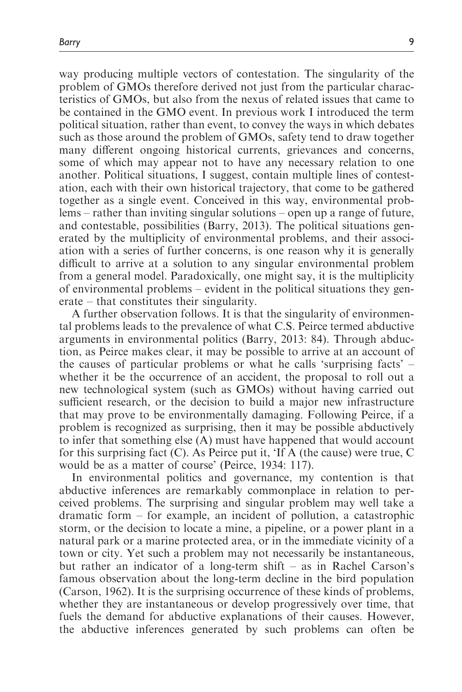way producing multiple vectors of contestation. The singularity of the problem of GMOs therefore derived not just from the particular characteristics of GMOs, but also from the nexus of related issues that came to be contained in the GMO event. In previous work I introduced the term political situation, rather than event, to convey the ways in which debates such as those around the problem of GMOs, safety tend to draw together many different ongoing historical currents, grievances and concerns, some of which may appear not to have any necessary relation to one another. Political situations, I suggest, contain multiple lines of contestation, each with their own historical trajectory, that come to be gathered together as a single event. Conceived in this way, environmental problems – rather than inviting singular solutions – open up a range of future, and contestable, possibilities (Barry, 2013). The political situations generated by the multiplicity of environmental problems, and their association with a series of further concerns, is one reason why it is generally difficult to arrive at a solution to any singular environmental problem from a general model. Paradoxically, one might say, it is the multiplicity of environmental problems – evident in the political situations they generate – that constitutes their singularity.

A further observation follows. It is that the singularity of environmental problems leads to the prevalence of what C.S. Peirce termed abductive arguments in environmental politics (Barry, 2013: 84). Through abduction, as Peirce makes clear, it may be possible to arrive at an account of the causes of particular problems or what he calls 'surprising facts' – whether it be the occurrence of an accident, the proposal to roll out a new technological system (such as GMOs) without having carried out sufficient research, or the decision to build a major new infrastructure that may prove to be environmentally damaging. Following Peirce, if a problem is recognized as surprising, then it may be possible abductively to infer that something else (A) must have happened that would account for this surprising fact (C). As Peirce put it, 'If A (the cause) were true, C would be as a matter of course' (Peirce, 1934: 117).

In environmental politics and governance, my contention is that abductive inferences are remarkably commonplace in relation to perceived problems. The surprising and singular problem may well take a dramatic form – for example, an incident of pollution, a catastrophic storm, or the decision to locate a mine, a pipeline, or a power plant in a natural park or a marine protected area, or in the immediate vicinity of a town or city. Yet such a problem may not necessarily be instantaneous, but rather an indicator of a long-term shift – as in Rachel Carson's famous observation about the long-term decline in the bird population (Carson, 1962). It is the surprising occurrence of these kinds of problems, whether they are instantaneous or develop progressively over time, that fuels the demand for abductive explanations of their causes. However, the abductive inferences generated by such problems can often be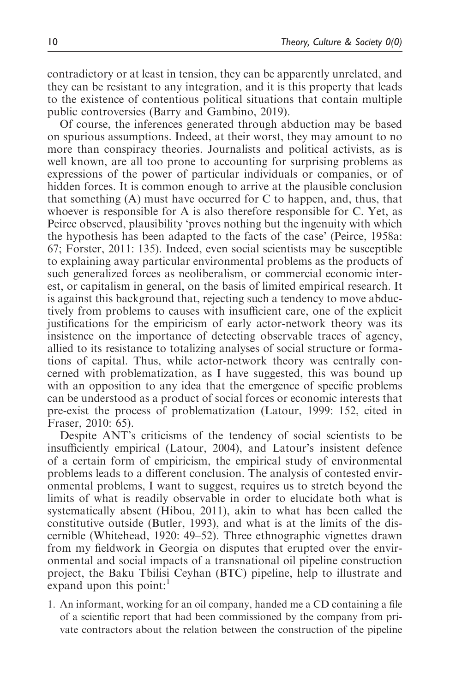contradictory or at least in tension, they can be apparently unrelated, and they can be resistant to any integration, and it is this property that leads to the existence of contentious political situations that contain multiple public controversies (Barry and Gambino, 2019).

Of course, the inferences generated through abduction may be based on spurious assumptions. Indeed, at their worst, they may amount to no more than conspiracy theories. Journalists and political activists, as is well known, are all too prone to accounting for surprising problems as expressions of the power of particular individuals or companies, or of hidden forces. It is common enough to arrive at the plausible conclusion that something  $(A)$  must have occurred for C to happen, and, thus, that whoever is responsible for A is also therefore responsible for C. Yet, as Peirce observed, plausibility 'proves nothing but the ingenuity with which the hypothesis has been adapted to the facts of the case' (Peirce, 1958a: 67; Forster, 2011: 135). Indeed, even social scientists may be susceptible to explaining away particular environmental problems as the products of such generalized forces as neoliberalism, or commercial economic interest, or capitalism in general, on the basis of limited empirical research. It is against this background that, rejecting such a tendency to move abductively from problems to causes with insufficient care, one of the explicit justifications for the empiricism of early actor-network theory was its insistence on the importance of detecting observable traces of agency, allied to its resistance to totalizing analyses of social structure or formations of capital. Thus, while actor-network theory was centrally concerned with problematization, as I have suggested, this was bound up with an opposition to any idea that the emergence of specific problems can be understood as a product of social forces or economic interests that pre-exist the process of problematization (Latour, 1999: 152, cited in Fraser, 2010: 65).

Despite ANT's criticisms of the tendency of social scientists to be insufficiently empirical (Latour, 2004), and Latour's insistent defence of a certain form of empiricism, the empirical study of environmental problems leads to a different conclusion. The analysis of contested environmental problems, I want to suggest, requires us to stretch beyond the limits of what is readily observable in order to elucidate both what is systematically absent (Hibou, 2011), akin to what has been called the constitutive outside (Butler, 1993), and what is at the limits of the discernible (Whitehead, 1920: 49–52). Three ethnographic vignettes drawn from my fieldwork in Georgia on disputes that erupted over the environmental and social impacts of a transnational oil pipeline construction project, the Baku Tbilisi Ceyhan (BTC) pipeline, help to illustrate and expand upon this point:

1. An informant, working for an oil company, handed me a CD containing a file of a scientific report that had been commissioned by the company from private contractors about the relation between the construction of the pipeline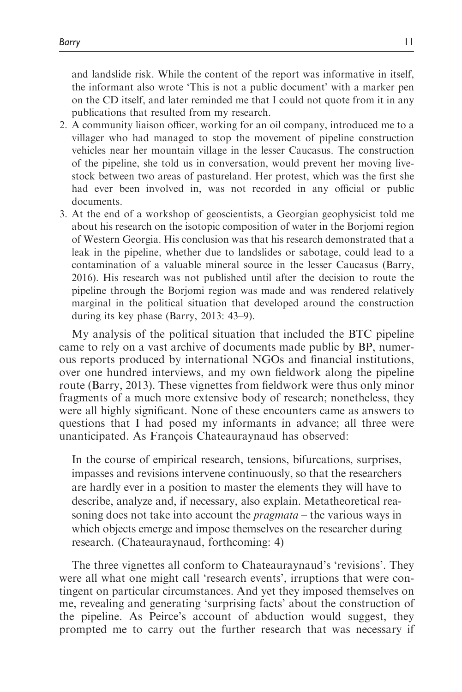and landslide risk. While the content of the report was informative in itself, the informant also wrote 'This is not a public document' with a marker pen on the CD itself, and later reminded me that I could not quote from it in any publications that resulted from my research.

- 2. A community liaison officer, working for an oil company, introduced me to a villager who had managed to stop the movement of pipeline construction vehicles near her mountain village in the lesser Caucasus. The construction of the pipeline, she told us in conversation, would prevent her moving livestock between two areas of pastureland. Her protest, which was the first she had ever been involved in, was not recorded in any official or public documents.
- 3. At the end of a workshop of geoscientists, a Georgian geophysicist told me about his research on the isotopic composition of water in the Borjomi region of Western Georgia. His conclusion was that his research demonstrated that a leak in the pipeline, whether due to landslides or sabotage, could lead to a contamination of a valuable mineral source in the lesser Caucasus (Barry, 2016). His research was not published until after the decision to route the pipeline through the Borjomi region was made and was rendered relatively marginal in the political situation that developed around the construction during its key phase (Barry, 2013: 43–9).

My analysis of the political situation that included the BTC pipeline came to rely on a vast archive of documents made public by BP, numerous reports produced by international NGOs and financial institutions, over one hundred interviews, and my own fieldwork along the pipeline route (Barry, 2013). These vignettes from fieldwork were thus only minor fragments of a much more extensive body of research; nonetheless, they were all highly significant. None of these encounters came as answers to questions that I had posed my informants in advance; all three were unanticipated. As François Chateauraynaud has observed:

In the course of empirical research, tensions, bifurcations, surprises, impasses and revisions intervene continuously, so that the researchers are hardly ever in a position to master the elements they will have to describe, analyze and, if necessary, also explain. Metatheoretical reasoning does not take into account the *pragmata* – the various ways in which objects emerge and impose themselves on the researcher during research. (Chateauraynaud, forthcoming: 4)

The three vignettes all conform to Chateauraynaud's 'revisions'. They were all what one might call 'research events', irruptions that were contingent on particular circumstances. And yet they imposed themselves on me, revealing and generating 'surprising facts' about the construction of the pipeline. As Peirce's account of abduction would suggest, they prompted me to carry out the further research that was necessary if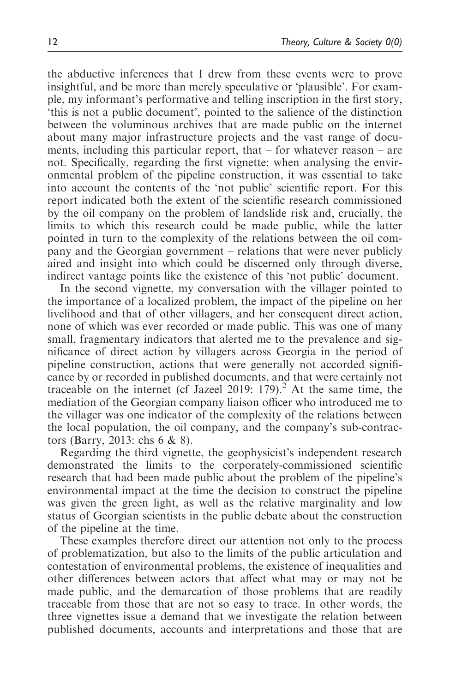the abductive inferences that I drew from these events were to prove insightful, and be more than merely speculative or 'plausible'. For example, my informant's performative and telling inscription in the first story, 'this is not a public document', pointed to the salience of the distinction between the voluminous archives that are made public on the internet about many major infrastructure projects and the vast range of documents, including this particular report, that – for whatever reason – are not. Specifically, regarding the first vignette: when analysing the environmental problem of the pipeline construction, it was essential to take into account the contents of the 'not public' scientific report. For this report indicated both the extent of the scientific research commissioned by the oil company on the problem of landslide risk and, crucially, the limits to which this research could be made public, while the latter pointed in turn to the complexity of the relations between the oil company and the Georgian government – relations that were never publicly aired and insight into which could be discerned only through diverse, indirect vantage points like the existence of this 'not public' document.

In the second vignette, my conversation with the villager pointed to the importance of a localized problem, the impact of the pipeline on her livelihood and that of other villagers, and her consequent direct action, none of which was ever recorded or made public. This was one of many small, fragmentary indicators that alerted me to the prevalence and significance of direct action by villagers across Georgia in the period of pipeline construction, actions that were generally not accorded significance by or recorded in published documents, and that were certainly not traceable on the internet (cf Jazeel 2019: 179).<sup>2</sup> At the same time, the mediation of the Georgian company liaison officer who introduced me to the villager was one indicator of the complexity of the relations between the local population, the oil company, and the company's sub-contractors (Barry, 2013: chs 6 & 8).

Regarding the third vignette, the geophysicist's independent research demonstrated the limits to the corporately-commissioned scientific research that had been made public about the problem of the pipeline's environmental impact at the time the decision to construct the pipeline was given the green light, as well as the relative marginality and low status of Georgian scientists in the public debate about the construction of the pipeline at the time.

These examples therefore direct our attention not only to the process of problematization, but also to the limits of the public articulation and contestation of environmental problems, the existence of inequalities and other differences between actors that affect what may or may not be made public, and the demarcation of those problems that are readily traceable from those that are not so easy to trace. In other words, the three vignettes issue a demand that we investigate the relation between published documents, accounts and interpretations and those that are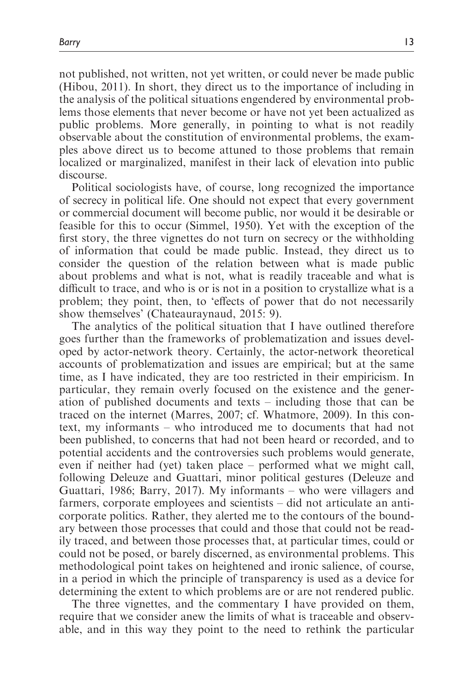not published, not written, not yet written, or could never be made public (Hibou, 2011). In short, they direct us to the importance of including in the analysis of the political situations engendered by environmental problems those elements that never become or have not yet been actualized as public problems. More generally, in pointing to what is not readily observable about the constitution of environmental problems, the examples above direct us to become attuned to those problems that remain localized or marginalized, manifest in their lack of elevation into public discourse.

Political sociologists have, of course, long recognized the importance of secrecy in political life. One should not expect that every government or commercial document will become public, nor would it be desirable or feasible for this to occur (Simmel, 1950). Yet with the exception of the first story, the three vignettes do not turn on secrecy or the withholding of information that could be made public. Instead, they direct us to consider the question of the relation between what is made public about problems and what is not, what is readily traceable and what is difficult to trace, and who is or is not in a position to crystallize what is a problem; they point, then, to 'effects of power that do not necessarily show themselves' (Chateauraynaud, 2015: 9).

The analytics of the political situation that I have outlined therefore goes further than the frameworks of problematization and issues developed by actor-network theory. Certainly, the actor-network theoretical accounts of problematization and issues are empirical; but at the same time, as I have indicated, they are too restricted in their empiricism. In particular, they remain overly focused on the existence and the generation of published documents and texts – including those that can be traced on the internet (Marres, 2007; cf. Whatmore, 2009). In this context, my informants – who introduced me to documents that had not been published, to concerns that had not been heard or recorded, and to potential accidents and the controversies such problems would generate, even if neither had (yet) taken place – performed what we might call, following Deleuze and Guattari, minor political gestures (Deleuze and Guattari, 1986; Barry, 2017). My informants – who were villagers and farmers, corporate employees and scientists – did not articulate an anticorporate politics. Rather, they alerted me to the contours of the boundary between those processes that could and those that could not be readily traced, and between those processes that, at particular times, could or could not be posed, or barely discerned, as environmental problems. This methodological point takes on heightened and ironic salience, of course, in a period in which the principle of transparency is used as a device for determining the extent to which problems are or are not rendered public.

The three vignettes, and the commentary I have provided on them, require that we consider anew the limits of what is traceable and observable, and in this way they point to the need to rethink the particular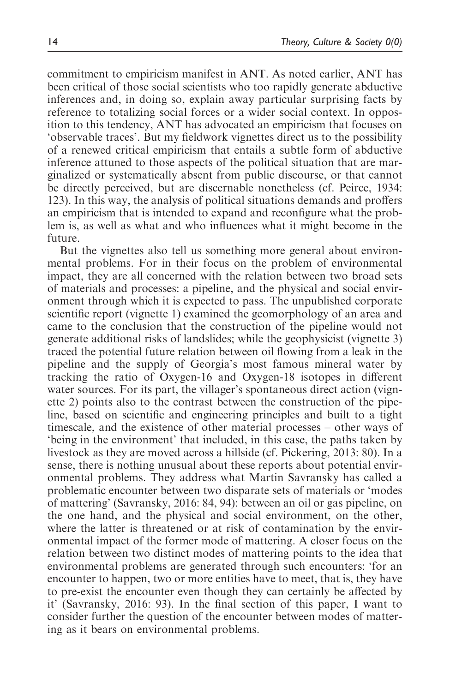commitment to empiricism manifest in ANT. As noted earlier, ANT has been critical of those social scientists who too rapidly generate abductive inferences and, in doing so, explain away particular surprising facts by reference to totalizing social forces or a wider social context. In opposition to this tendency, ANT has advocated an empiricism that focuses on 'observable traces'. But my fieldwork vignettes direct us to the possibility of a renewed critical empiricism that entails a subtle form of abductive inference attuned to those aspects of the political situation that are marginalized or systematically absent from public discourse, or that cannot be directly perceived, but are discernable nonetheless (cf. Peirce, 1934: 123). In this way, the analysis of political situations demands and proffers an empiricism that is intended to expand and reconfigure what the problem is, as well as what and who influences what it might become in the future.

But the vignettes also tell us something more general about environmental problems. For in their focus on the problem of environmental impact, they are all concerned with the relation between two broad sets of materials and processes: a pipeline, and the physical and social environment through which it is expected to pass. The unpublished corporate scientific report (vignette 1) examined the geomorphology of an area and came to the conclusion that the construction of the pipeline would not generate additional risks of landslides; while the geophysicist (vignette 3) traced the potential future relation between oil flowing from a leak in the pipeline and the supply of Georgia's most famous mineral water by tracking the ratio of Oxygen-16 and Oxygen-18 isotopes in different water sources. For its part, the villager's spontaneous direct action (vignette 2) points also to the contrast between the construction of the pipeline, based on scientific and engineering principles and built to a tight timescale, and the existence of other material processes – other ways of 'being in the environment' that included, in this case, the paths taken by livestock as they are moved across a hillside (cf. Pickering, 2013: 80). In a sense, there is nothing unusual about these reports about potential environmental problems. They address what Martin Savransky has called a problematic encounter between two disparate sets of materials or 'modes of mattering' (Savransky, 2016: 84, 94): between an oil or gas pipeline, on the one hand, and the physical and social environment, on the other, where the latter is threatened or at risk of contamination by the environmental impact of the former mode of mattering. A closer focus on the relation between two distinct modes of mattering points to the idea that environmental problems are generated through such encounters: 'for an encounter to happen, two or more entities have to meet, that is, they have to pre-exist the encounter even though they can certainly be affected by it' (Savransky, 2016: 93). In the final section of this paper, I want to consider further the question of the encounter between modes of mattering as it bears on environmental problems.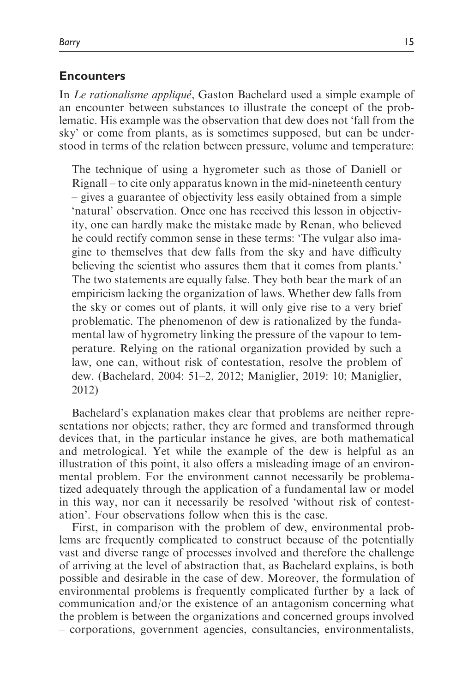#### **Encounters**

In *Le rationalisme appliqué*, Gaston Bachelard used a simple example of an encounter between substances to illustrate the concept of the problematic. His example was the observation that dew does not 'fall from the sky' or come from plants, as is sometimes supposed, but can be understood in terms of the relation between pressure, volume and temperature:

The technique of using a hygrometer such as those of Daniell or Rignall – to cite only apparatus known in the mid-nineteenth century – gives a guarantee of objectivity less easily obtained from a simple 'natural' observation. Once one has received this lesson in objectivity, one can hardly make the mistake made by Renan, who believed he could rectify common sense in these terms: 'The vulgar also imagine to themselves that dew falls from the sky and have difficulty believing the scientist who assures them that it comes from plants.' The two statements are equally false. They both bear the mark of an empiricism lacking the organization of laws. Whether dew falls from the sky or comes out of plants, it will only give rise to a very brief problematic. The phenomenon of dew is rationalized by the fundamental law of hygrometry linking the pressure of the vapour to temperature. Relying on the rational organization provided by such a law, one can, without risk of contestation, resolve the problem of dew. (Bachelard, 2004: 51–2, 2012; Maniglier, 2019: 10; Maniglier, 2012)

Bachelard's explanation makes clear that problems are neither representations nor objects; rather, they are formed and transformed through devices that, in the particular instance he gives, are both mathematical and metrological. Yet while the example of the dew is helpful as an illustration of this point, it also offers a misleading image of an environmental problem. For the environment cannot necessarily be problematized adequately through the application of a fundamental law or model in this way, nor can it necessarily be resolved 'without risk of contestation'. Four observations follow when this is the case.

First, in comparison with the problem of dew, environmental problems are frequently complicated to construct because of the potentially vast and diverse range of processes involved and therefore the challenge of arriving at the level of abstraction that, as Bachelard explains, is both possible and desirable in the case of dew. Moreover, the formulation of environmental problems is frequently complicated further by a lack of communication and/or the existence of an antagonism concerning what the problem is between the organizations and concerned groups involved – corporations, government agencies, consultancies, environmentalists,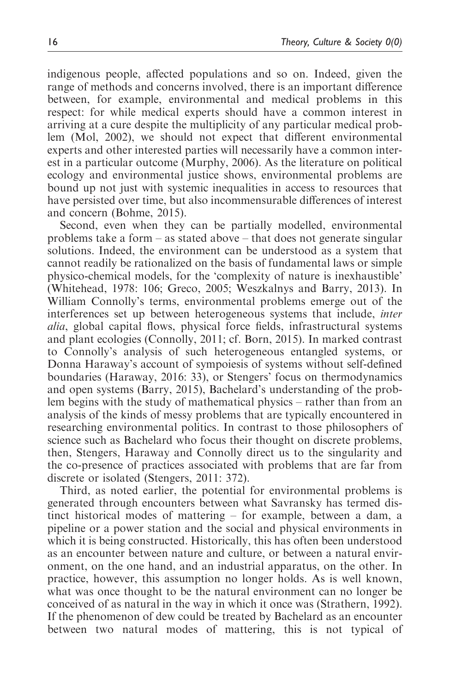indigenous people, affected populations and so on. Indeed, given the range of methods and concerns involved, there is an important difference between, for example, environmental and medical problems in this respect: for while medical experts should have a common interest in arriving at a cure despite the multiplicity of any particular medical problem (Mol, 2002), we should not expect that different environmental experts and other interested parties will necessarily have a common interest in a particular outcome (Murphy, 2006). As the literature on political ecology and environmental justice shows, environmental problems are bound up not just with systemic inequalities in access to resources that have persisted over time, but also incommensurable differences of interest and concern (Bohme, 2015).

Second, even when they can be partially modelled, environmental problems take a form – as stated above – that does not generate singular solutions. Indeed, the environment can be understood as a system that cannot readily be rationalized on the basis of fundamental laws or simple physico-chemical models, for the 'complexity of nature is inexhaustible' (Whitehead, 1978: 106; Greco, 2005; Weszkalnys and Barry, 2013). In William Connolly's terms, environmental problems emerge out of the interferences set up between heterogeneous systems that include, inter alia, global capital flows, physical force fields, infrastructural systems and plant ecologies (Connolly, 2011; cf. Born, 2015). In marked contrast to Connolly's analysis of such heterogeneous entangled systems, or Donna Haraway's account of sympoiesis of systems without self-defined boundaries (Haraway, 2016: 33), or Stengers' focus on thermodynamics and open systems (Barry, 2015), Bachelard's understanding of the problem begins with the study of mathematical physics – rather than from an analysis of the kinds of messy problems that are typically encountered in researching environmental politics. In contrast to those philosophers of science such as Bachelard who focus their thought on discrete problems, then, Stengers, Haraway and Connolly direct us to the singularity and the co-presence of practices associated with problems that are far from discrete or isolated (Stengers, 2011: 372).

Third, as noted earlier, the potential for environmental problems is generated through encounters between what Savransky has termed distinct historical modes of mattering – for example, between a dam, a pipeline or a power station and the social and physical environments in which it is being constructed. Historically, this has often been understood as an encounter between nature and culture, or between a natural environment, on the one hand, and an industrial apparatus, on the other. In practice, however, this assumption no longer holds. As is well known, what was once thought to be the natural environment can no longer be conceived of as natural in the way in which it once was (Strathern, 1992). If the phenomenon of dew could be treated by Bachelard as an encounter between two natural modes of mattering, this is not typical of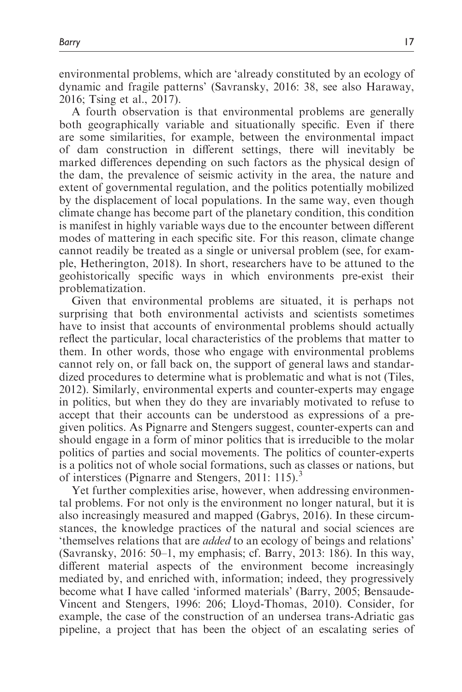environmental problems, which are 'already constituted by an ecology of dynamic and fragile patterns' (Savransky, 2016: 38, see also Haraway, 2016; Tsing et al., 2017).

A fourth observation is that environmental problems are generally both geographically variable and situationally specific. Even if there are some similarities, for example, between the environmental impact of dam construction in different settings, there will inevitably be marked differences depending on such factors as the physical design of the dam, the prevalence of seismic activity in the area, the nature and extent of governmental regulation, and the politics potentially mobilized by the displacement of local populations. In the same way, even though climate change has become part of the planetary condition, this condition is manifest in highly variable ways due to the encounter between different modes of mattering in each specific site. For this reason, climate change cannot readily be treated as a single or universal problem (see, for example, Hetherington, 2018). In short, researchers have to be attuned to the geohistorically specific ways in which environments pre-exist their problematization.

Given that environmental problems are situated, it is perhaps not surprising that both environmental activists and scientists sometimes have to insist that accounts of environmental problems should actually reflect the particular, local characteristics of the problems that matter to them. In other words, those who engage with environmental problems cannot rely on, or fall back on, the support of general laws and standardized procedures to determine what is problematic and what is not (Tiles, 2012). Similarly, environmental experts and counter-experts may engage in politics, but when they do they are invariably motivated to refuse to accept that their accounts can be understood as expressions of a pregiven politics. As Pignarre and Stengers suggest, counter-experts can and should engage in a form of minor politics that is irreducible to the molar politics of parties and social movements. The politics of counter-experts is a politics not of whole social formations, such as classes or nations, but of interstices (Pignarre and Stengers, 2011: 115).<sup>3</sup>

Yet further complexities arise, however, when addressing environmental problems. For not only is the environment no longer natural, but it is also increasingly measured and mapped (Gabrys, 2016). In these circumstances, the knowledge practices of the natural and social sciences are 'themselves relations that are added to an ecology of beings and relations' (Savransky, 2016: 50–1, my emphasis; cf. Barry, 2013: 186). In this way, different material aspects of the environment become increasingly mediated by, and enriched with, information; indeed, they progressively become what I have called 'informed materials' (Barry, 2005; Bensaude-Vincent and Stengers, 1996: 206; Lloyd-Thomas, 2010). Consider, for example, the case of the construction of an undersea trans-Adriatic gas pipeline, a project that has been the object of an escalating series of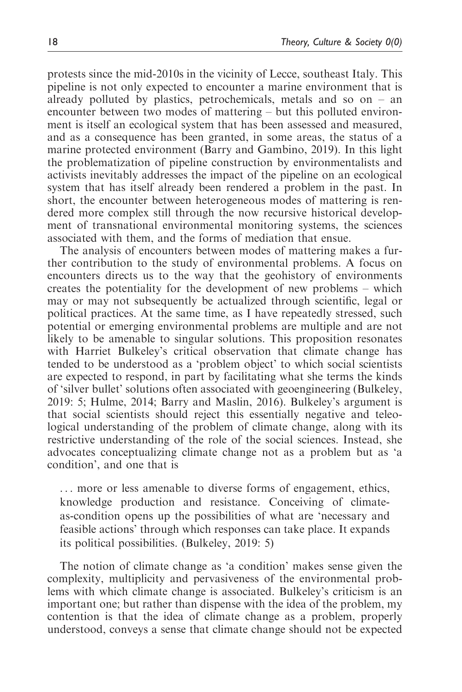protests since the mid-2010s in the vicinity of Lecce, southeast Italy. This pipeline is not only expected to encounter a marine environment that is already polluted by plastics, petrochemicals, metals and so on – an encounter between two modes of mattering – but this polluted environment is itself an ecological system that has been assessed and measured, and as a consequence has been granted, in some areas, the status of a marine protected environment (Barry and Gambino, 2019). In this light the problematization of pipeline construction by environmentalists and activists inevitably addresses the impact of the pipeline on an ecological system that has itself already been rendered a problem in the past. In short, the encounter between heterogeneous modes of mattering is rendered more complex still through the now recursive historical development of transnational environmental monitoring systems, the sciences associated with them, and the forms of mediation that ensue.

The analysis of encounters between modes of mattering makes a further contribution to the study of environmental problems. A focus on encounters directs us to the way that the geohistory of environments creates the potentiality for the development of new problems – which may or may not subsequently be actualized through scientific, legal or political practices. At the same time, as I have repeatedly stressed, such potential or emerging environmental problems are multiple and are not likely to be amenable to singular solutions. This proposition resonates with Harriet Bulkeley's critical observation that climate change has tended to be understood as a 'problem object' to which social scientists are expected to respond, in part by facilitating what she terms the kinds of 'silver bullet' solutions often associated with geoengineering (Bulkeley, 2019: 5; Hulme, 2014; Barry and Maslin, 2016). Bulkeley's argument is that social scientists should reject this essentially negative and teleological understanding of the problem of climate change, along with its restrictive understanding of the role of the social sciences. Instead, she advocates conceptualizing climate change not as a problem but as 'a condition', and one that is

... more or less amenable to diverse forms of engagement, ethics, knowledge production and resistance. Conceiving of climateas-condition opens up the possibilities of what are 'necessary and feasible actions' through which responses can take place. It expands its political possibilities. (Bulkeley, 2019: 5)

The notion of climate change as 'a condition' makes sense given the complexity, multiplicity and pervasiveness of the environmental problems with which climate change is associated. Bulkeley's criticism is an important one; but rather than dispense with the idea of the problem, my contention is that the idea of climate change as a problem, properly understood, conveys a sense that climate change should not be expected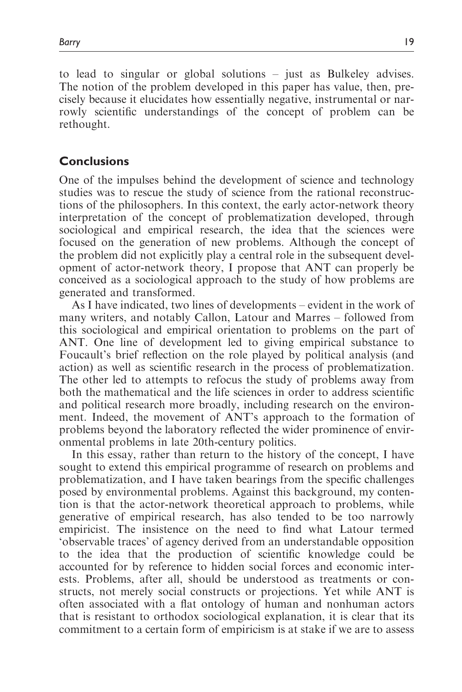to lead to singular or global solutions – just as Bulkeley advises. The notion of the problem developed in this paper has value, then, precisely because it elucidates how essentially negative, instrumental or narrowly scientific understandings of the concept of problem can be rethought.

### Conclusions

One of the impulses behind the development of science and technology studies was to rescue the study of science from the rational reconstructions of the philosophers. In this context, the early actor-network theory interpretation of the concept of problematization developed, through sociological and empirical research, the idea that the sciences were focused on the generation of new problems. Although the concept of the problem did not explicitly play a central role in the subsequent development of actor-network theory, I propose that ANT can properly be conceived as a sociological approach to the study of how problems are generated and transformed.

As I have indicated, two lines of developments – evident in the work of many writers, and notably Callon, Latour and Marres – followed from this sociological and empirical orientation to problems on the part of ANT. One line of development led to giving empirical substance to Foucault's brief reflection on the role played by political analysis (and action) as well as scientific research in the process of problematization. The other led to attempts to refocus the study of problems away from both the mathematical and the life sciences in order to address scientific and political research more broadly, including research on the environment. Indeed, the movement of ANT's approach to the formation of problems beyond the laboratory reflected the wider prominence of environmental problems in late 20th-century politics.

In this essay, rather than return to the history of the concept, I have sought to extend this empirical programme of research on problems and problematization, and I have taken bearings from the specific challenges posed by environmental problems. Against this background, my contention is that the actor-network theoretical approach to problems, while generative of empirical research, has also tended to be too narrowly empiricist. The insistence on the need to find what Latour termed 'observable traces' of agency derived from an understandable opposition to the idea that the production of scientific knowledge could be accounted for by reference to hidden social forces and economic interests. Problems, after all, should be understood as treatments or constructs, not merely social constructs or projections. Yet while ANT is often associated with a flat ontology of human and nonhuman actors that is resistant to orthodox sociological explanation, it is clear that its commitment to a certain form of empiricism is at stake if we are to assess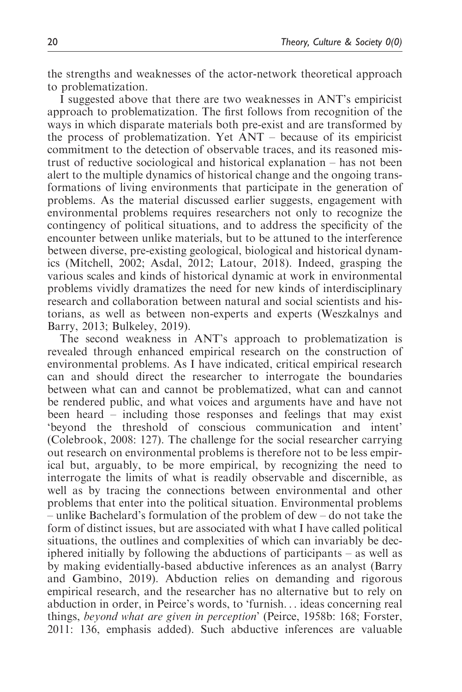the strengths and weaknesses of the actor-network theoretical approach to problematization.

I suggested above that there are two weaknesses in ANT's empiricist approach to problematization. The first follows from recognition of the ways in which disparate materials both pre-exist and are transformed by the process of problematization. Yet ANT – because of its empiricist commitment to the detection of observable traces, and its reasoned mistrust of reductive sociological and historical explanation – has not been alert to the multiple dynamics of historical change and the ongoing transformations of living environments that participate in the generation of problems. As the material discussed earlier suggests, engagement with environmental problems requires researchers not only to recognize the contingency of political situations, and to address the specificity of the encounter between unlike materials, but to be attuned to the interference between diverse, pre-existing geological, biological and historical dynamics (Mitchell, 2002; Asdal, 2012; Latour, 2018). Indeed, grasping the various scales and kinds of historical dynamic at work in environmental problems vividly dramatizes the need for new kinds of interdisciplinary research and collaboration between natural and social scientists and historians, as well as between non-experts and experts (Weszkalnys and Barry, 2013; Bulkeley, 2019).

The second weakness in ANT's approach to problematization is revealed through enhanced empirical research on the construction of environmental problems. As I have indicated, critical empirical research can and should direct the researcher to interrogate the boundaries between what can and cannot be problematized, what can and cannot be rendered public, and what voices and arguments have and have not been heard – including those responses and feelings that may exist 'beyond the threshold of conscious communication and intent' (Colebrook, 2008: 127). The challenge for the social researcher carrying out research on environmental problems is therefore not to be less empirical but, arguably, to be more empirical, by recognizing the need to interrogate the limits of what is readily observable and discernible, as well as by tracing the connections between environmental and other problems that enter into the political situation. Environmental problems – unlike Bachelard's formulation of the problem of dew – do not take the form of distinct issues, but are associated with what I have called political situations, the outlines and complexities of which can invariably be deciphered initially by following the abductions of participants – as well as by making evidentially-based abductive inferences as an analyst (Barry and Gambino, 2019). Abduction relies on demanding and rigorous empirical research, and the researcher has no alternative but to rely on abduction in order, in Peirce's words, to 'furnish... ideas concerning real things, beyond what are given in perception' (Peirce, 1958b: 168; Forster, 2011: 136, emphasis added). Such abductive inferences are valuable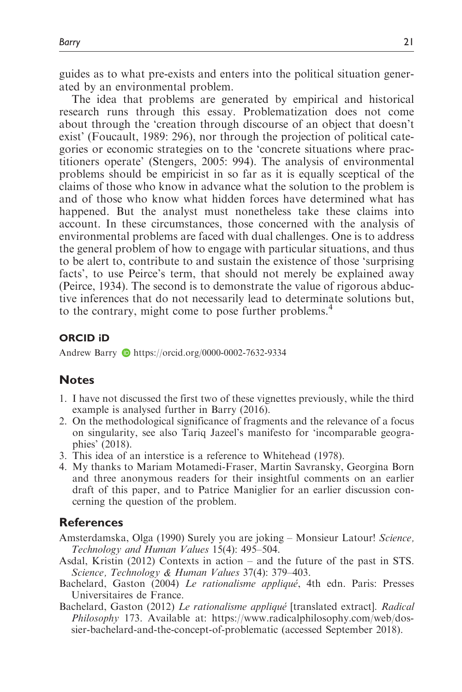guides as to what pre-exists and enters into the political situation generated by an environmental problem.

The idea that problems are generated by empirical and historical research runs through this essay. Problematization does not come about through the 'creation through discourse of an object that doesn't exist' (Foucault, 1989: 296), nor through the projection of political categories or economic strategies on to the 'concrete situations where practitioners operate' (Stengers, 2005: 994). The analysis of environmental problems should be empiricist in so far as it is equally sceptical of the claims of those who know in advance what the solution to the problem is and of those who know what hidden forces have determined what has happened. But the analyst must nonetheless take these claims into account. In these circumstances, those concerned with the analysis of environmental problems are faced with dual challenges. One is to address the general problem of how to engage with particular situations, and thus to be alert to, contribute to and sustain the existence of those 'surprising facts', to use Peirce's term, that should not merely be explained away (Peirce, 1934). The second is to demonstrate the value of rigorous abductive inferences that do not necessarily lead to determinate solutions but, to the contrary, might come to pose further problems.<sup>4</sup>

#### ORCID iD

Andrew Barry **D** <https://orcid.org/0000-0002-7632-9334>

## **Notes**

- 1. I have not discussed the first two of these vignettes previously, while the third example is analysed further in Barry (2016).
- 2. On the methodological significance of fragments and the relevance of a focus on singularity, see also Tariq Jazeel's manifesto for 'incomparable geographies' (2018).
- 3. This idea of an interstice is a reference to Whitehead (1978).
- 4. My thanks to Mariam Motamedi-Fraser, Martin Savransky, Georgina Born and three anonymous readers for their insightful comments on an earlier draft of this paper, and to Patrice Maniglier for an earlier discussion concerning the question of the problem.

# **References**

- Amsterdamska, Olga (1990) Surely you are joking Monsieur Latour! Science, Technology and Human Values 15(4): 495–504.
- Asdal, Kristin (2012) Contexts in action and the future of the past in STS. Science, Technology & Human Values 37(4): 379–403.
- Bachelard, Gaston (2004) Le rationalisme appliqué, 4th edn. Paris: Presses Universitaires de France.
- Bachelard, Gaston (2012) Le rationalisme appliqué [translated extract]. Radical Philosophy 173. Available at: [https://www.radicalphilosophy.com/web/dos](https://www.radicalphilosophy.com/web/dossier-bachelard-and-the-concept-of-problematic)[sier-bachelard-and-the-concept-of-problematic](https://www.radicalphilosophy.com/web/dossier-bachelard-and-the-concept-of-problematic) (accessed September 2018).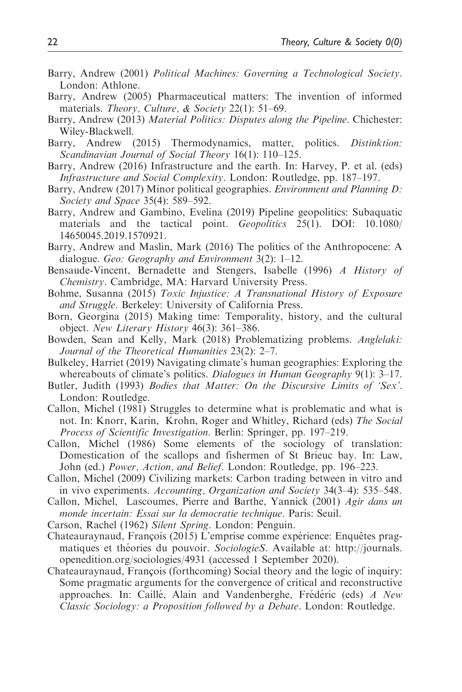- Barry, Andrew (2001) Political Machines: Governing a Technological Society. London: Athlone.
- Barry, Andrew (2005) Pharmaceutical matters: The invention of informed materials. Theory, Culture, & Society 22(1): 51–69.
- Barry, Andrew (2013) Material Politics: Disputes along the Pipeline. Chichester: Wiley-Blackwell.
- Barry, Andrew (2015) Thermodynamics, matter, politics. Distinktion: Scandinavian Journal of Social Theory 16(1): 110–125.
- Barry, Andrew (2016) Infrastructure and the earth. In: Harvey, P. et al. (eds) Infrastructure and Social Complexity. London: Routledge, pp. 187–197.
- Barry, Andrew (2017) Minor political geographies. Environment and Planning D: Society and Space 35(4): 589–592.
- Barry, Andrew and Gambino, Evelina (2019) Pipeline geopolitics: Subaquatic materials and the tactical point. Geopolitics 25(1). DOI: 10.1080/ 14650045.2019.1570921.
- Barry, Andrew and Maslin, Mark (2016) The politics of the Anthropocene: A dialogue. Geo: Geography and Environment 3(2): 1-12.
- Bensaude-Vincent, Bernadette and Stengers, Isabelle (1996) A History of Chemistry. Cambridge, MA: Harvard University Press.
- Bohme, Susanna (2015) Toxic Injustice: A Transnational History of Exposure and Struggle. Berkeley: University of California Press.
- Born, Georgina (2015) Making time: Temporality, history, and the cultural object. New Literary History 46(3): 361–386.
- Bowden, Sean and Kelly, Mark (2018) Problematizing problems. Anglelaki: Journal of the Theoretical Humanities 23(2): 2–7.
- Bulkeley, Harriet (2019) Navigating climate's human geographies: Exploring the whereabouts of climate's politics. Dialogues in Human Geography  $9(1)$ : 3–17.
- Butler, Judith (1993) Bodies that Matter: On the Discursive Limits of 'Sex'. London: Routledge.
- Callon, Michel (1981) Struggles to determine what is problematic and what is not. In: Knorr, Karin, Krohn, Roger and Whitley, Richard (eds) The Social Process of Scientific Investigation. Berlin: Springer, pp. 197–219.
- Callon, Michel (1986) Some elements of the sociology of translation: Domestication of the scallops and fishermen of St Brieuc bay. In: Law, John (ed.) Power, Action, and Belief. London: Routledge, pp. 196–223.
- Callon, Michel (2009) Civilizing markets: Carbon trading between in vitro and in vivo experiments. Accounting, Organization and Society 34(3–4): 535–548.
- Callon, Michel, Lascoumes, Pierre and Barthe, Yannick (2001) Agir dans un monde incertain: Essai sur la democratie technique. Paris: Seuil.
- Carson, Rachel (1962) Silent Spring. London: Penguin.
- Chateauraynaud, François (2015) L'emprise comme expérience: Enquêtes pragmatiques et théories du pouvoir. SociologieS. Available at: [http://journals.](http://journals.openedition.org/sociologies/4931) [openedition.org/sociologies/4931](http://journals.openedition.org/sociologies/4931) (accessed 1 September 2020).
- Chateauraynaud, François (forthcoming) Social theory and the logic of inquiry: Some pragmatic arguments for the convergence of critical and reconstructive approaches. In: Caillé, Alain and Vandenberghe, Frédéric (eds) A New Classic Sociology: a Proposition followed by a Debate. London: Routledge.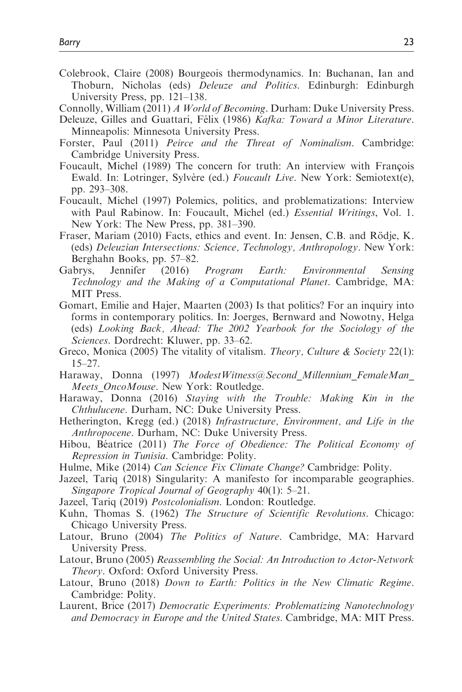- Colebrook, Claire (2008) Bourgeois thermodynamics. In: Buchanan, Ian and Thoburn, Nicholas (eds) Deleuze and Politics. Edinburgh: Edinburgh University Press, pp. 121–138.
- Connolly, William (2011) A World of Becoming. Durham: Duke University Press.
- Deleuze, Gilles and Guattari, Félix (1986) Kafka: Toward a Minor Literature. Minneapolis: Minnesota University Press.
- Forster, Paul (2011) Peirce and the Threat of Nominalism. Cambridge: Cambridge University Press.
- Foucault, Michel (1989) The concern for truth: An interview with François Ewald. In: Lotringer, Sylvère (ed.) Foucault Live. New York: Semiotext(e), pp. 293–308.
- Foucault, Michel (1997) Polemics, politics, and problematizations: Interview with Paul Rabinow. In: Foucault, Michel (ed.) Essential Writings, Vol. 1. New York: The New Press, pp. 381–390.
- Fraser, Mariam (2010) Facts, ethics and event. In: Jensen, C.B. and Rödje, K. (eds) Deleuzian Intersections: Science, Technology, Anthropology. New York: Berghahn Books, pp. 57–82.<br>brys, Jennifer (2016) *Program*
- Gabrys, Jennifer (2016) Program Earth: Environmental Sensing Technology and the Making of a Computational Planet. Cambridge, MA: MIT Press.
- Gomart, Emilie and Hajer, Maarten (2003) Is that politics? For an inquiry into forms in contemporary politics. In: Joerges, Bernward and Nowotny, Helga (eds) Looking Back, Ahead: The 2002 Yearbook for the Sociology of the Sciences. Dordrecht: Kluwer, pp. 33–62.
- Greco, Monica (2005) The vitality of vitalism. *Theory, Culture & Society* 22(1): 15–27.
- Haraway, Donna (1997) Modest Witness @ Second Millennium FemaleMan Meets OncoMouse. New York: Routledge.
- Haraway, Donna (2016) Staying with the Trouble: Making Kin in the Chthulucene. Durham, NC: Duke University Press.
- Hetherington, Kregg (ed.) (2018) Infrastructure, Environment, and Life in the Anthropocene. Durham, NC: Duke University Press.
- Hibou, Béatrice (2011) The Force of Obedience: The Political Economy of Repression in Tunisia. Cambridge: Polity.
- Hulme, Mike (2014) Can Science Fix Climate Change? Cambridge: Polity.
- Jazeel, Tariq (2018) Singularity: A manifesto for incomparable geographies. Singapore Tropical Journal of Geography 40(1): 5–21.
- Jazeel, Tariq (2019) Postcolonialism. London: Routledge.
- Kuhn, Thomas S. (1962) The Structure of Scientific Revolutions. Chicago: Chicago University Press.
- Latour, Bruno (2004) The Politics of Nature. Cambridge, MA: Harvard University Press.
- Latour, Bruno (2005) Reassembling the Social: An Introduction to Actor-Network Theory. Oxford: Oxford University Press.
- Latour, Bruno (2018) Down to Earth: Politics in the New Climatic Regime. Cambridge: Polity.
- Laurent, Brice (2017) Democratic Experiments: Problematizing Nanotechnology and Democracy in Europe and the United States. Cambridge, MA: MIT Press.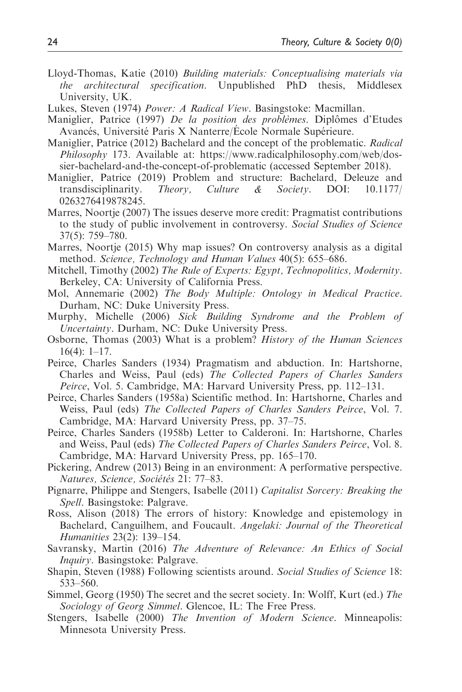- Lloyd-Thomas, Katie (2010) Building materials: Conceptualising materials via the architectural specification. Unpublished PhD thesis, Middlesex University, UK.
- Lukes, Steven (1974) Power: A Radical View. Basingstoke: Macmillan.
- Maniglier, Patrice (1997) De la position des problèmes. Diplômes d'Etudes Avancés, Université Paris X Nanterre/École Normale Supérieure.
- Maniglier, Patrice (2012) Bachelard and the concept of the problematic. Radical Philosophy 173. Available at: [https://www.radicalphilosophy.com/web/dos](https://www.radicalphilosophy.com/web/dossier-bachelard-and-the-concept-of-problematic)[sier-bachelard-and-the-concept-of-problematic](https://www.radicalphilosophy.com/web/dossier-bachelard-and-the-concept-of-problematic) (accessed September 2018).
- Maniglier, Patrice (2019) Problem and structure: Bachelard, Deleuze and transdisciplinarity. Theory, Culture & Society. DOI: 10.1177/ 0263276419878245.
- Marres, Noortje (2007) The issues deserve more credit: Pragmatist contributions to the study of public involvement in controversy. Social Studies of Science 37(5): 759–780.
- Marres, Noortje (2015) Why map issues? On controversy analysis as a digital method. Science, Technology and Human Values 40(5): 655–686.
- Mitchell, Timothy (2002) The Rule of Experts: Egypt, Technopolitics, Modernity. Berkeley, CA: University of California Press.
- Mol, Annemarie (2002) The Body Multiple: Ontology in Medical Practice. Durham, NC: Duke University Press.
- Murphy, Michelle (2006) Sick Building Syndrome and the Problem of Uncertainty. Durham, NC: Duke University Press.
- Osborne, Thomas (2003) What is a problem? History of the Human Sciences  $16(4): 1-17.$
- Peirce, Charles Sanders (1934) Pragmatism and abduction. In: Hartshorne, Charles and Weiss, Paul (eds) The Collected Papers of Charles Sanders Peirce, Vol. 5. Cambridge, MA: Harvard University Press, pp. 112–131.
- Peirce, Charles Sanders (1958a) Scientific method. In: Hartshorne, Charles and Weiss, Paul (eds) The Collected Papers of Charles Sanders Peirce, Vol. 7. Cambridge, MA: Harvard University Press, pp. 37–75.
- Peirce, Charles Sanders (1958b) Letter to Calderoni. In: Hartshorne, Charles and Weiss, Paul (eds) The Collected Papers of Charles Sanders Peirce, Vol. 8. Cambridge, MA: Harvard University Press, pp. 165–170.
- Pickering, Andrew (2013) Being in an environment: A performative perspective. Natures, Science, Sociétés 21: 77–83.
- Pignarre, Philippe and Stengers, Isabelle (2011) Capitalist Sorcery: Breaking the Spell. Basingstoke: Palgrave.
- Ross, Alison (2018) The errors of history: Knowledge and epistemology in Bachelard, Canguilhem, and Foucault. Angelaki: Journal of the Theoretical Humanities 23(2): 139–154.
- Savransky, Martin (2016) The Adventure of Relevance: An Ethics of Social Inquiry. Basingstoke: Palgrave.
- Shapin, Steven (1988) Following scientists around. Social Studies of Science 18: 533–560.
- Simmel, Georg (1950) The secret and the secret society. In: Wolff, Kurt (ed.) The Sociology of Georg Simmel. Glencoe, IL: The Free Press.
- Stengers, Isabelle (2000) The Invention of Modern Science. Minneapolis: Minnesota University Press.